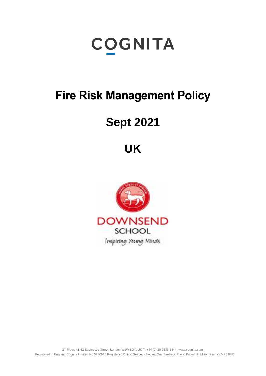# **COGNITA**

# **Fire Risk Management Policy**

# **Sept 2021**

# **UK**

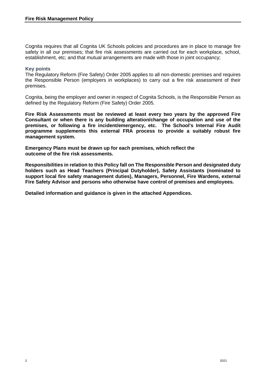Cognita requires that all Cognita UK Schools policies and procedures are in place to manage fire safety in all our premises; that fire risk assessments are carried out for each workplace, school, establishment, etc; and that mutual arrangements are made with those in joint occupancy;

#### **Key points**

The Regulatory Reform (Fire Safety) Order 2005 applies to all non-domestic premises and requires the Responsible Person (employers in workplaces) to carry out a fire risk assessment of their premises.

Cognita, being the employer and owner in respect of Cognita Schools, is the Responsible Person as defined by the Regulatory Reform (Fire Safety) Order 2005.

**Fire Risk Assessments must be reviewed at least every two years by the approved Fire Consultant or when there is any building alteration/change of occupation and use of the premises, or following a fire incident/emergency, etc. The School's Internal Fire Audit programme supplements this external FRA process to provide a suitably robust fire management system.**

**Emergency Plans must be drawn up for each premises, which reflect the outcome of the fire risk assessments.**

**Responsibilities in relation to this Policy fall on The Responsible Person and designated duty holders such as Head Teachers (Principal Dutyholder), Safety Assistants (nominated to support local fire safety management duties), Managers, Personnel, Fire Wardens, external Fire Safety Advisor and persons who otherwise have control of premises and employees.**

**Detailed information and guidance is given in the attached Appendices.**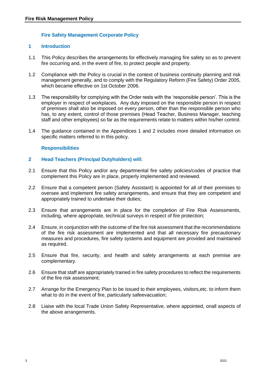# **Fire Safety Management Corporate Policy**

# **1 Introduction**

- 1.1 This Policy describes the arrangements for effectively managing fire safety so as to prevent fire occurring and, in the event of fire, to protect people and property.
- 1.2 Compliance with the Policy is crucial in the context of business continuity planning and risk management generally, and to comply with the Regulatory Reform (Fire Safety) Order 2005, which became effective on 1st October 2006.
- 1.3 The responsibility for complying with the Order rests with the 'responsible person'. This is the employer in respect of workplaces. Any duty imposed on the responsible person in respect of premises shall also be imposed on every person, other than the responsible person who has, to any extent, control of those premises (Head Teacher, Business Manager, teaching staff and other employees) so far as the requirements relate to matters within his/her control.
- 1.4 The guidance contained in the Appendices 1 and 2 includes more detailed information on specific matters referred to in this policy.

# **Responsibilities**

#### **2 Head Teachers (Principal Dutyholders) will:**

- 2.1 Ensure that this Policy and/or any departmental fire safety policies/codes of practice that complement this Policy are in place, properly implemented and reviewed.
- 2.2 Ensure that a competent person (Safety Assistant) is appointed for all of their premises to oversee and implement fire safety arrangements, and ensure that they are competent and appropriately trained to undertake their duties;
- 2.3 Ensure that arrangements are in place for the completion of Fire Risk Assessments, including, where appropriate, technical surveys in respect of fire protection;
- 2.4 Ensure, in conjunction with the outcome of the fire risk assessment that the recommendations of the fire risk assessment are implemented and that all necessary fire precautionary measures and procedures, fire safety systems and equipment are provided and maintained as required.
- 2.5 Ensure that fire, security, and health and safety arrangements at each premise are complementary.
- 2.6 Ensure that staff are appropriately trained in fire safety procedures to reflect the requirements of the fire risk assessment;
- 2.7 Arrange for the Emergency Plan to be issued to their employees, visitors,etc. to inform them what to do in the event of fire, particularly safeevacuation;
- 2.8 Liaise with the local Trade Union Safety Representative, where appointed, onall aspects of the above arrangements.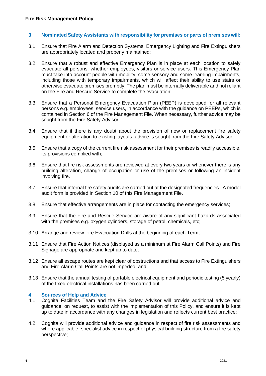#### **3 Nominated Safety Assistants with responsibility for premises or parts of premises will:**

- 3.1 Ensure that Fire Alarm and Detection Systems, Emergency Lighting and Fire Extinguishers are appropriately located and properly maintained;
- 3.2 Ensure that a robust and effective Emergency Plan is in place at each location to safely evacuate all persons, whether employees, visitors or service users. This Emergency Plan must take into account people with mobility, some sensory and some learning impairments, including those with temporary impairments, which will affect their ability to use stairs or otherwise evacuate premises promptly. The plan must be internally deliverable and not reliant on the Fire and Rescue Service to complete the evacuation;
- 3.3 Ensure that a Personal Emergency Evacuation Plan (PEEP) is developed for all relevant persons e.g. employees, service users, in accordance with the guidance on PEEPs, which is contained in Section 6 of the Fire Management File. When necessary, further advice may be sought from the Fire Safety Advisor.
- 3.4 Ensure that if there is any doubt about the provision of new or replacement fire safety equipment or alteration to existing layouts, advice is sought from the Fire Safety Advisor;
- 3.5 Ensure that a copy of the current fire risk assessment for their premises is readily accessible, its provisions complied with;
- 3.6 Ensure that fire risk assessments are reviewed at every two years or whenever there is any building alteration, change of occupation or use of the premises or following an incident involving fire.
- 3.7 Ensure that internal fire safety audits are carried out at the designated frequencies. A model audit form is provided in Section 10 of this Fire Management File.
- 3.8 Ensure that effective arrangements are in place for contacting the emergency services;
- 3.9 Ensure that the Fire and Rescue Service are aware of any significant hazards associated with the premises e.g. oxygen cylinders, storage of petrol, chemicals, etc;
- 3.10 Arrange and review Fire Evacuation Drills at the beginning of each Term;
- 3.11 Ensure that Fire Action Notices (displayed as a minimum at Fire Alarm Call Points) and Fire Signage are appropriate and kept up to date;
- 3.12 Ensure all escape routes are kept clear of obstructions and that access to Fire Extinguishers and Fire Alarm Call Points are not impeded; and
- 3.13 Ensure that the annual testing of portable electrical equipment and periodic testing (5 yearly) of the fixed electrical installations has been carried out.

#### **4 Sources of Help and Advice**

- 4.1 Cognita Facilities Team and the Fire Safety Advisor will provide additional advice and guidance, on request, to assist with the implementation of this Policy, and ensure it is kept up to date in accordance with any changes in legislation and reflects current best practice;
- 4.2 Cognita will provide additional advice and guidance in respect of fire risk assessments and where applicable, specialist advice in respect of physical building structure from a fire safety perspective;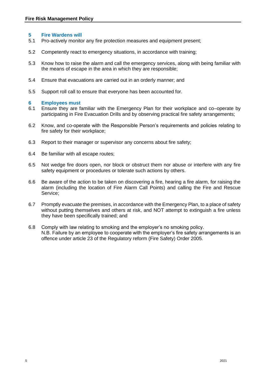# **5 Fire Wardens will**

- 5.1 Pro-actively monitor any fire protection measures and equipment present;
- 5.2 Competently react to emergency situations, in accordance with training;
- 5.3 Know how to raise the alarm and call the emergency services, along with being familiar with the means of escape in the area in which they are responsible;
- 5.4 Ensure that evacuations are carried out in an orderly manner; and
- 5.5 Support roll call to ensure that everyone has been accounted for.

#### **6 Employees must**

- 6.1 Ensure they are familiar with the Emergency Plan for their workplace and co–operate by participating in Fire Evacuation Drills and by observing practical fire safety arrangements;
- 6.2 Know, and co-operate with the Responsible Person's requirements and policies relating to fire safety for their workplace;
- 6.3 Report to their manager or supervisor any concerns about fire safety;
- 6.4 Be familiar with all escape routes;
- 6.5 Not wedge fire doors open, nor block or obstruct them nor abuse or interfere with any fire safety equipment or procedures or tolerate such actions by others.
- 6.6 Be aware of the action to be taken on discovering a fire, hearing a fire alarm, for raising the alarm (including the location of Fire Alarm Call Points) and calling the Fire and Rescue Service;
- 6.7 Promptly evacuate the premises, in accordance with the Emergency Plan, to a place of safety without putting themselves and others at risk, and NOT attempt to extinguish a fire unless they have been specifically trained; and
- 6.8 Comply with law relating to smoking and the employer's no smoking policy. N.B. Failure by an employee to cooperate with the employer's fire safety arrangements is an offence under article 23 of the Regulatory reform (Fire Safety) Order 2005.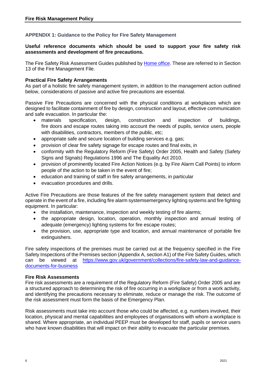# **APPENDIX 1: Guidance to the Policy for Fire Safety Management**

### **Useful reference documents which should be used to support your fire safety risk assessments and development of fire precautions.**

The Fire Safety Risk Assessment Guides published by [Home office.](https://www.gov.uk/government/publications/fire-safety-risk-assessment-educational-premises) These are referred to in Section 13 of the Fire Management File.

### **Practical Fire Safety Arrangements**

As part of a holistic fire safety management system, in addition to the management action outlined below, considerations of passive and active fire precautions are essential.

Passive Fire Precautions are concerned with the physical conditions at workplaces which are designed to facilitate containment of fire by design, construction and layout, effective communication and safe evacuation. In particular the:

- materials specification, design, construction and inspection of buildings, fire doors and escape routes taking into account the needs of pupils, service users, people with disabilities, contractors, members of the public, etc;
- appropriate safe and secure location of building services e.g. gas;
- provision of clear fire safety signage for escape routes and final exits, in
- conformity with the Regulatory Reform (Fire Safety) Order 2005, Health and Safety (Safety Signs and Signals) Regulations 1996 and The Equality Act 2010.
- provision of prominently located Fire Action Notices (e.g. by Fire Alarm Call Points) to inform people of the action to be taken in the event of fire;
- education and training of staff in fire safety arrangements, in particular
- evacuation procedures and drills.

Active Fire Precautions are those features of the fire safety management system that detect and operate in the event of a fire, including fire alarm systemsemergency lighting systems and fire fighting equipment. In particular:

- the installation, maintenance, inspection and weekly testing of fire alarms;
- the appropriate design, location, operation, monthly inspection and annual testing of adequate (emergency) lighting systems for fire escape routes;
- the provision, use, appropriate type and location, and annual maintenance of portable fire extinguishers.

Fire safety inspections of the premises must be carried out at the frequency specified in the Fire Safety Inspections of the Premises section (Appendix A, section A1) of the Fire Safety Guides, which can be viewed at [https://www.gov.uk/government/collections/fire-safety-law-and-guidance](https://www.gov.uk/government/collections/fire-safety-law-and-guidance-documents-for-business)[documents-for-business](https://www.gov.uk/government/collections/fire-safety-law-and-guidance-documents-for-business)

# **Fire Risk Assessments**

Fire risk assessments are a requirement of the Regulatory Reform (Fire Safety) Order 2005 and are a structured approach to determining the risk of fire occurring in a workplace or from a work activity, and identifying the precautions necessary to eliminate, reduce or manage the risk. The outcome of the risk assessment must form the basis of the Emergency Plan.

Risk assessments must take into account those who could be affected, e.g. numbers involved, their location, physical and mental capabilities and employees of organisations with whom a workplace is shared. Where appropriate, an individual PEEP must be developed for staff, pupils or service users who have known disabilities that will impact on their ability to evacuate the particular premises.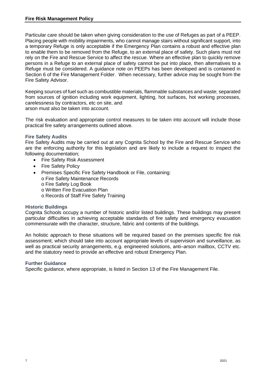Particular care should be taken when giving consideration to the use of Refuges as part of a PEEP. Placing people with mobility impairments, who cannot manage stairs without significant support, into a temporary Refuge is only acceptable if the Emergency Plan contains a robust and effective plan to enable them to be removed from the Refuge, to an external place of safety. Such plans must not rely on the Fire and Rescue Service to affect the rescue. Where an effective plan to quickly remove persons in a Refuge to an external place of safety cannot be put into place, then alternatives to a Refuge must be considered. A guidance note on PEEPs has been developed and is contained in Section 6 of the Fire Management Folder. When necessary, further advice may be sought from the Fire Safety Advisor.

Keeping sources of fuel such as combustible materials, flammable substances and waste; separated from sources of ignition including work equipment, lighting, hot surfaces, hot working processes, carelessness by contractors, etc on site, and arson must also be taken into account.

The risk evaluation and appropriate control measures to be taken into account will include those practical fire safety arrangements outlined above.

# **Fire Safety Audits**

Fire Safety Audits may be carried out at any Cognita School by the Fire and Rescue Service who are the enforcing authority for this legislation and are likely to include a request to inspect the following documentation;

- Fire Safety Risk Assessment
- Fire Safety Policy
- Premises Specific Fire Safety Handbook or File, containing:
	- o Fire Safety Maintenance Records
	- o Fire Safety Log Book
	- o Written Fire Evacuation Plan
	- o Records of Staff Fire Safety Training

#### **Historic Buildings**

Cognita Schools occupy a number of historic and/or listed buildings. These buildings may present particular difficulties in achieving acceptable standards of fire safety and emergency evacuation commensurate with the character, structure, fabric and contents of the buildings.

An holistic approach to these situations will be required based on the premises specific fire risk assessment; which should take into account appropriate levels of supervision and surveillance, as well as practical security arrangements, e.g. engineered solutions, anti–arson mailbox, CCTV etc. and the statutory need to provide an effective and robust Emergency Plan.

#### **Further Guidance**

Specific guidance, where appropriate, is listed in Section 13 of the Fire Management File.